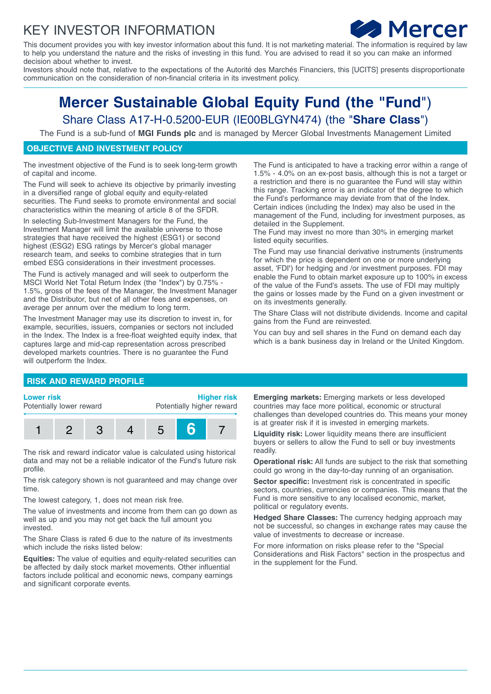## KEY INVESTOR INFORMATION



This document provides you with key investor information about this fund. It is not marketing material. The information is required by law to help you understand the nature and the risks of investing in this fund. You are advised to read it so you can make an informed decision about whether to invest.

Investors should note that, relative to the expectations of the Autorité des Marchés Financiers, this [UCITS] presents disproportionate communication on the consideration of non-financial criteria in its investment policy.

# **Mercer Sustainable Global Equity Fund (the "Fund**") Share Class A17-H-0.5200-EUR (IE00BLGYN474) (the "**Share Class**")

The Fund is a sub-fund of **MGI Funds plc** and is managed by Mercer Global Investments Management Limited

## **OBJECTIVE AND INVESTMENT POLICY**

The investment objective of the Fund is to seek long-term growth of capital and income.

The Fund will seek to achieve its objective by primarily investing in a diversified range of global equity and equity-related securities. The Fund seeks to promote environmental and social characteristics within the meaning of article 8 of the SFDR.

In selecting Sub-Investment Managers for the Fund, the Investment Manager will limit the available universe to those strategies that have received the highest (ESG1) or second highest (ESG2) ESG ratings by Mercer's global manager research team, and seeks to combine strategies that in turn embed ESG considerations in their investment processes.

The Fund is actively managed and will seek to outperform the MSCI World Net Total Return Index (the "Index") by 0.75% - 1.5%, gross of the fees of the Manager, the Investment Manager and the Distributor, but net of all other fees and expenses, on average per annum over the medium to long term.

The Investment Manager may use its discretion to invest in, for example, securities, issuers, companies or sectors not included in the Index. The Index is a free-float weighted equity index, that captures large and mid-cap representation across prescribed developed markets countries. There is no guarantee the Fund will outperform the Index.

The Fund is anticipated to have a tracking error within a range of 1.5% - 4.0% on an ex-post basis, although this is not a target or a restriction and there is no guarantee the Fund will stay within this range. Tracking error is an indicator of the degree to which the Fund's performance may deviate from that of the Index. Certain indices (including the Index) may also be used in the management of the Fund, including for investment purposes, as detailed in the Supplement.

The Fund may invest no more than 30% in emerging market listed equity securities.

The Fund may use financial derivative instruments (instruments for which the price is dependent on one or more underlying asset, 'FDI**'**) for hedging and /or investment purposes. FDI may enable the Fund to obtain market exposure up to 100% in excess of the value of the Fund's assets. The use of FDI may multiply the gains or losses made by the Fund on a given investment or on its investments generally.

The Share Class will not distribute dividends. Income and capital gains from the Fund are reinvested.

You can buy and sell shares in the Fund on demand each day which is a bank business day in Ireland or the United Kingdom.

### **RISK AND REWARD PROFILE**

#### **Lower risk**

Potentially lower reward

**Higher risk** Potentially higher reward



The risk and reward indicator value is calculated using historical data and may not be a reliable indicator of the Fund's future risk profile.

The risk category shown is not guaranteed and may change over time.

The lowest category, 1, does not mean risk free.

The value of investments and income from them can go down as well as up and you may not get back the full amount you invested.

The Share Class is rated 6 due to the nature of its investments which include the risks listed below:

**Equities:** The value of equities and equity-related securities can be affected by daily stock market movements. Other influential factors include political and economic news, company earnings and significant corporate events.

**Emerging markets:** Emerging markets or less developed countries may face more political, economic or structural challenges than developed countries do. This means your money is at greater risk if it is invested in emerging markets.

**Liquidity risk:** Lower liquidity means there are insufficient buyers or sellers to allow the Fund to sell or buy investments readily.

**Operational risk:** All funds are subject to the risk that something could go wrong in the day-to-day running of an organisation.

**Sector specific:** Investment risk is concentrated in specific sectors, countries, currencies or companies. This means that the Fund is more sensitive to any localised economic, market, political or regulatory events.

**Hedged Share Classes:** The currency hedging approach may not be successful, so changes in exchange rates may cause the value of investments to decrease or increase.

For more information on risks please refer to the "Special Considerations and Risk Factors" section in the prospectus and in the supplement for the Fund.